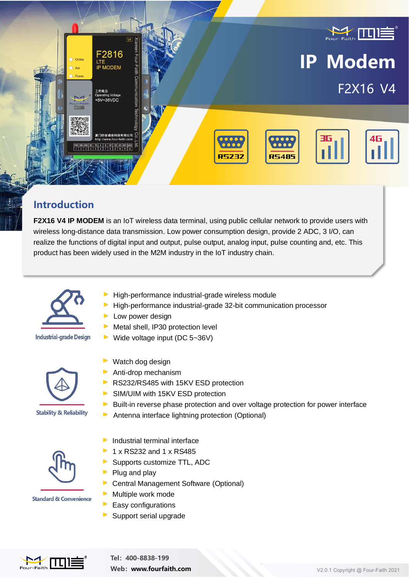

### **Introduction**

**F2X16 V4 IP MODEM** is an IoT wireless data terminal, using public cellular network to provide users with wireless long-distance data transmission. Low power consumption design, provide 2 ADC, 3 I/O, can realize the functions of digital input and output, pulse output, analog input, pulse counting and, etc. This product has been widely used in the M2M industry in the IoT industry chain.



**Industrial-grade Design** 



**Stability & Reliability** 

- High-performance industrial-grade wireless module
- High-performance industrial-grade 32-bit communication processor
- **Low power design**
- Metal shell, IP30 protection level  $\blacktriangleright$
- Wide voltage input (DC 5~36V)  $\blacktriangleright$



- Watch dog design Anti-drop mechanism
- RS232/RS485 with 15KV ESD protection
- SIM/UIM with 15KV ESD protection
	- Built-in reverse phase protection and over voltage protection for power interface
- $\blacktriangleright$ Antenna interface lightning protection (Optional)



Industrial terminal interface

- 1 x RS232 and 1 x RS485
- Supports customize TTL, ADC
- Plug and play
- Central Management Software (Optional)
- Multiple work mode
- Easy configurations
- Support serial upgrade

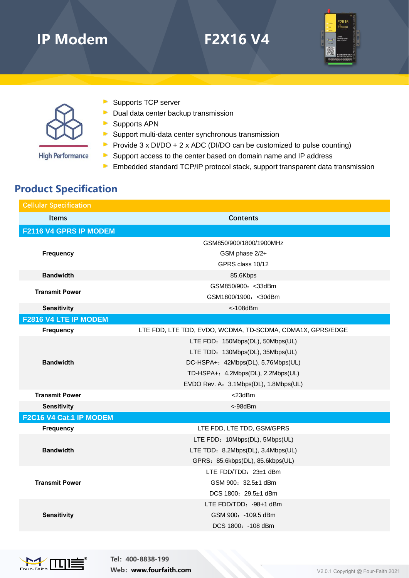# **IP Modem F2X16 V4**





- **High Performance**
- Supports TCP server
- $\triangleright$  Dual data center backup transmission
- Supports APN
- $\triangleright$  Support multi-data center synchronous transmission
- Provide  $3 \times \text{DI} / \text{DO} + 2 \times \text{ADC}$  (DI/DO can be customized to pulse counting)
- Support access to the center based on domain name and IP address
- **Embedded standard TCP/IP protocol stack, support transparent data transmission**

### **Product Specification**

| <b>Cellular Specification</b> |                                                            |  |
|-------------------------------|------------------------------------------------------------|--|
| <b>Items</b>                  | <b>Contents</b>                                            |  |
| F2116 V4 GPRS IP MODEM        |                                                            |  |
|                               | GSM850/900/1800/1900MHz                                    |  |
| <b>Frequency</b>              | GSM phase 2/2+                                             |  |
|                               | GPRS class 10/12                                           |  |
| <b>Bandwidth</b>              | 85.6Kbps                                                   |  |
| <b>Transmit Power</b>         | GSM850/900: < 33dBm                                        |  |
|                               | GSM1800/1900: < 30dBm                                      |  |
| <b>Sensitivity</b>            | $<$ -108 $dBm$                                             |  |
| F2816 V4 LTE IP MODEM         |                                                            |  |
| <b>Frequency</b>              | LTE FDD, LTE TDD, EVDO, WCDMA, TD-SCDMA, CDMA1X, GPRS/EDGE |  |
| <b>Bandwidth</b>              | LTE FDD: 150Mbps(DL), 50Mbps(UL)                           |  |
|                               | LTE TDD: 130Mbps(DL), 35Mbps(UL)                           |  |
|                               | DC-HSPA+: 42Mbps(DL), 5.76Mbps(UL)                         |  |
|                               | TD-HSPA+: 4.2Mbps(DL), 2.2Mbps(UL)                         |  |
|                               | EVDO Rev. A: 3.1Mbps(DL), 1.8Mbps(UL)                      |  |
| <b>Transmit Power</b>         | <23dBm                                                     |  |
| <b>Sensitivity</b>            | <-98dBm                                                    |  |
| F2C16 V4 Cat.1 IP MODEM       |                                                            |  |
| <b>Frequency</b>              | LTE FDD, LTE TDD, GSM/GPRS                                 |  |
|                               | LTE FDD: 10Mbps(DL), 5Mbps(UL)                             |  |
| <b>Bandwidth</b>              | LTE TDD: 8.2Mbps(DL), 3.4Mbps(UL)                          |  |
|                               | GPRS: 85.6kbps(DL), 85.6kbps(UL)                           |  |
|                               | LTE FDD/TDD: $23\pm1$ dBm                                  |  |
| <b>Transmit Power</b>         | GSM 900: 32.5±1 dBm                                        |  |
|                               | DCS 1800: 29.5±1 dBm                                       |  |
| <b>Sensitivity</b>            | LTE FDD/TDD: -98+1 dBm                                     |  |
|                               | GSM 900: -109.5 dBm                                        |  |
|                               | DCS 1800: -108 dBm                                         |  |



**Tel:400-8838-199 Web:** www.fourfaith.com V2.0.1 Copyright @ Four-Faith 2021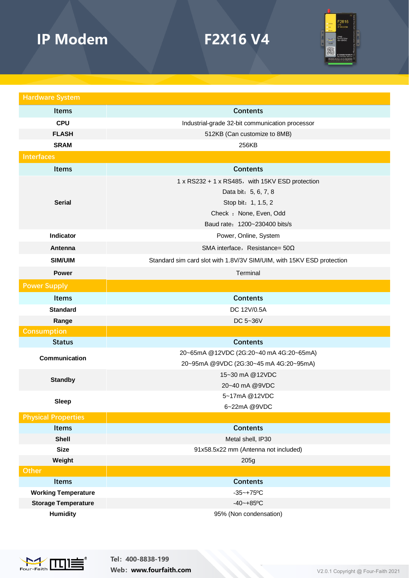# **IP Modem F2X16 V4**



| <b>Hardware System</b>     |                                                                       |
|----------------------------|-----------------------------------------------------------------------|
| <b>Items</b>               | <b>Contents</b>                                                       |
| <b>CPU</b>                 | Industrial-grade 32-bit communication processor                       |
| <b>FLASH</b>               | 512KB (Can customize to 8MB)                                          |
| <b>SRAM</b>                | 256KB                                                                 |
| <b>Interfaces</b>          |                                                                       |
| Items                      | <b>Contents</b>                                                       |
| <b>Serial</b>              | 1 x RS232 + 1 x RS485, with 15KV ESD protection                       |
|                            | Data bit: 5, 6, 7, 8                                                  |
|                            | Stop bit: 1, 1.5, 2                                                   |
|                            | Check : None, Even, Odd                                               |
|                            | Baud rate: 1200~230400 bits/s                                         |
| Indicator                  | Power, Online, System                                                 |
| Antenna                    | SMA interface, Resistance= $50\Omega$                                 |
| <b>SIM/UIM</b>             | Standard sim card slot with 1.8V/3V SIM/UIM, with 15KV ESD protection |
| <b>Power</b>               | Terminal                                                              |
| <b>Power Supply</b>        |                                                                       |
| Items                      | <b>Contents</b>                                                       |
| <b>Standard</b>            | DC 12V/0.5A                                                           |
| Range                      | DC 5~36V                                                              |
| <b>Consumption</b>         |                                                                       |
| <b>Status</b>              | <b>Contents</b>                                                       |
| Communication              | 20~65mA @12VDC (2G:20~40 mA 4G:20~65mA)                               |
|                            | 20~95mA @9VDC (2G:30~45 mA 4G:20~95mA)                                |
| <b>Standby</b>             | 15~30 mA @12VDC                                                       |
|                            | 20~40 mA @9VDC                                                        |
| Sleep                      | 5~17mA @12VDC                                                         |
| <b>Physical Properties</b> | 6~22mA @9VDC                                                          |
| <b>Items</b>               | <b>Contents</b>                                                       |
| <b>Shell</b>               | Metal shell, IP30                                                     |
| <b>Size</b>                | 91x58.5x22 mm (Antenna not included)                                  |
| Weight                     | 205g                                                                  |
| <b>Other</b>               |                                                                       |
| <b>Items</b>               | <b>Contents</b>                                                       |
| <b>Working Temperature</b> | $-35 - +75$ °C                                                        |
| <b>Storage Temperature</b> | $-40 - +85$ °C                                                        |
| <b>Humidity</b>            | 95% (Non condensation)                                                |



**Tel:400-8838-199 Web:**<br> **Web:**<br> **Web:**<br> **Web:**<br> **Web:**<br> **Web:**<br> **Web:**<br> **Web:**<br> **Web:**<br> **Web:**<br> **Web:**<br> **Web:**<br> **Web:**<br> **Web:**<br> **Web:**<br> **Web:**<br> **Web:**<br> **Web:**<br> **Web:**<br> **Web:**<br> **Web:**<br> **Web:**<br> **Web:**<br> **Web:**<br> **Web:**<br> **Web:**<br> **Web:**<br> **Web:**